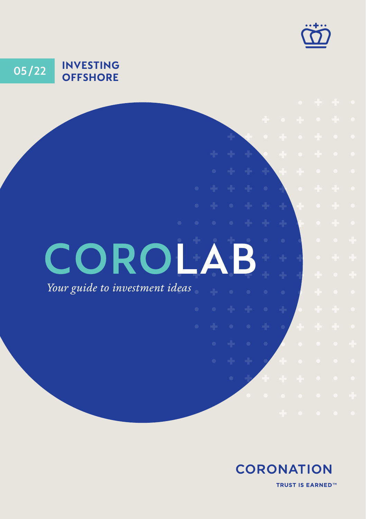

## **05 22 / INVESTING OFFSHORE**

# **COROLA**

*Your guide to investment ideas*

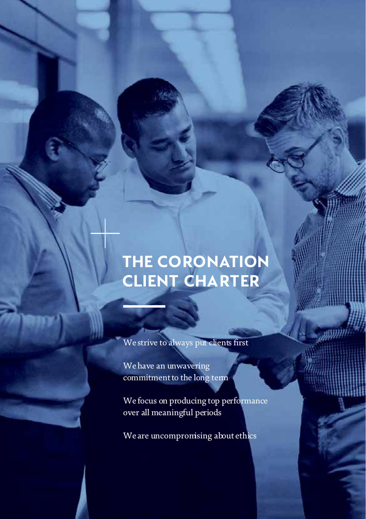# **THE CORONATION CLIENT CHARTER**

**COROLAB:** INVESTING OFFSHORE

We strive to always put clients first

We have an unwavering commitment to the long term

We focus on producing top performance over all meaningful periods

We are uncompromising about ethics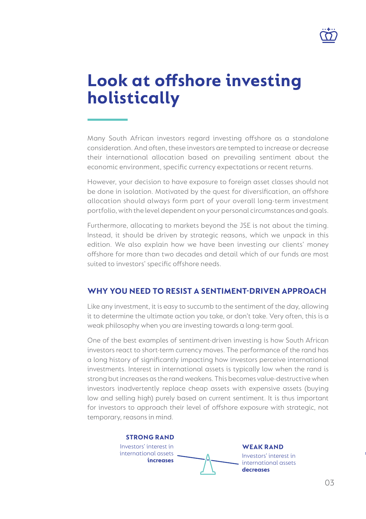

# **Look at offshore investing holistically**

Many South African investors regard investing offshore as a standalone consideration. And often, these investors are tempted to increase or decrease their international allocation based on prevailing sentiment about the economic environment, specific currency expectations or recent returns.

However, your decision to have exposure to foreign asset classes should not be done in isolation. Motivated by the quest for diversification, an offshore allocation should always form part of your overall long-term investment portfolio, with the level dependent on your personal circumstances and goals.

Furthermore, allocating to markets beyond the JSE is not about the timing. Instead, it should be driven by strategic reasons, which we unpack in this edition. We also explain how we have been investing our clients' money offshore for more than two decades and detail which of our funds are most suited to investors' specific offshore needs.

#### **WHY YOU NEED TO RESIST A SENTIMENT-DRIVEN APPROACH**

Like any investment, it is easy to succumb to the sentiment of the day, allowing it to determine the ultimate action you take, or don't take. Very often, this is a weak philosophy when you are investing towards a long-term goal.

One of the best examples of sentiment-driven investing is how South African investors react to short-term currency moves. The performance of the rand has a long history of significantly impacting how investors perceive international investments. Interest in international assets is typically low when the rand is strong but increases as the rand weakens. This becomes value-destructive when investors inadvertently replace cheap assets with expensive assets (buying low and selling high) purely based on current sentiment. It is thus important for investors to approach their level of offshore exposure with strategic, not temporary, reasons in mind.



**= IN BOTH SCENARIOS YOU END UP BUYING**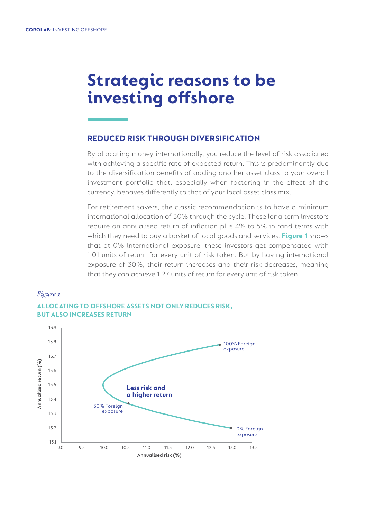# **Strategic reasons to be investing offshore**

#### **REDUCED RISK THROUGH DIVERSIFICATION**

By allocating money internationally, you reduce the level of risk associated with achieving a specific rate of expected return. This is predominantly due to the diversification benefits of adding another asset class to your overall investment portfolio that, especially when factoring in the effect of the currency, behaves differently to that of your local asset class mix.

For retirement savers, the classic recommendation is to have a minimum international allocation of 30% through the cycle. These long-term investors require an annualised return of inflation plus 4% to 5% in rand terms with which they need to buy a basket of local goods and services. **Figure 1** shows that at 0% international exposure, these investors get compensated with 1.01 units of return for every unit of risk taken. But by having international exposure of 30%, their return increases and their risk decreases, meaning that they can achieve 1.27 units of return for every unit of risk taken.

#### *Figure 1*



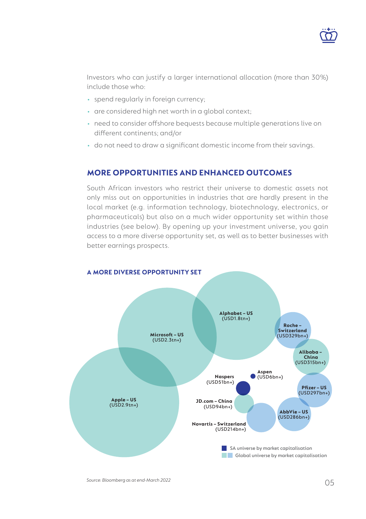

Investors who can justify a larger international allocation (more than 30%) include those who:

- spend regularly in foreign currency;
- are considered high net worth in a global context;
- need to consider offshore bequests because multiple generations live on different continents; and/or
- do not need to draw a significant domestic income from their savings.

#### **MORE OPPORTUNITIES AND ENHANCED OUTCOMES**

South African investors who restrict their universe to domestic assets not only miss out on opportunities in industries that are hardly present in the local market (e.g. information technology, biotechnology, electronics, or pharmaceuticals) but also on a much wider opportunity set within those industries (see below). By opening up your investment universe, you gain access to a more diverse opportunity set, as well as to better businesses with better earnings prospects.

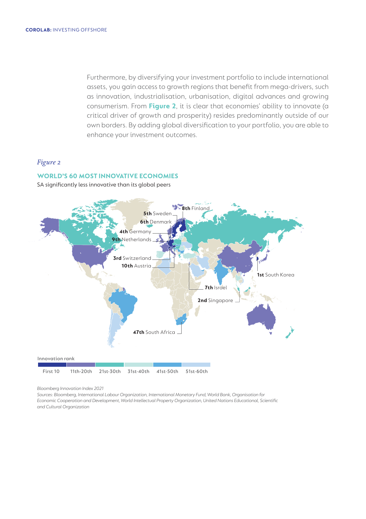Furthermore, by diversifying your investment portfolio to include international assets, you gain access to growth regions that benefit from mega-drivers, such as innovation, industrialisation, urbanisation, digital advances and growing consumerism. From **Figure 2**, it is clear that economies' ability to innovate (a critical driver of growth and prosperity) resides predominantly outside of our own borders. By adding global diversification to your portfolio, you are able to enhance your investment outcomes.

#### *Figure 2*



SA significantly less innovative than its global peers



*Bloomberg Innovation Index 2021* 

*Sources: [Bloomberg, International Labour Organization, International Monetary Fund, World Bank, Organisation for](https://www.bloomberg.com/news/articles/2020-01-18/germany-breaks-korea-s-six-year-streak-as-most-innovative-nation?sref=UBKk59ui)  [Economic Cooperation and Development, World Intellectual Property Organization, United Nations Educational, Scientific](https://www.bloomberg.com/news/articles/2020-01-18/germany-breaks-korea-s-six-year-streak-as-most-innovative-nation?sref=UBKk59ui)  [and Cultural Organization](https://www.bloomberg.com/news/articles/2020-01-18/germany-breaks-korea-s-six-year-streak-as-most-innovative-nation?sref=UBKk59ui)*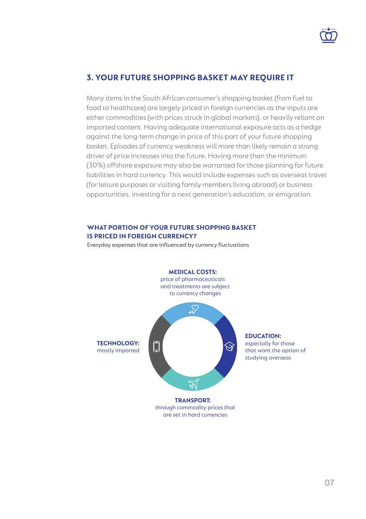

## **3. YOUR FUTURE SHOPPING BASKET MAY REQUIRE IT**

Many items in the South African consumer's shopping basket (from fuel to food to healthcare) are largely priced in foreign currencies as the inputs are either commodities (with prices struck in global markets), or heavily reliant on imported content. Having adequate international exposure acts as a hedge against the long-term change in price of this part of your future shopping basket. Episodes of currency weakness will more than likely remain a strong driver of price increases into the future. Having more than the minimum (30%) offshore exposure may also be warranted for those planning for future liabilities in hard currency. This would include expenses such as overseas travel (for leisure purposes or visiting family members living abroad) or business opportunities, investing for a next generation's education, or emigration.

#### **WHAT PORTION OF YOUR FUTURE SHOPPING BASKET IS PRICED IN FOREIGN CURRENCY?**

Everyday expenses that are influenced by currency fluctuations

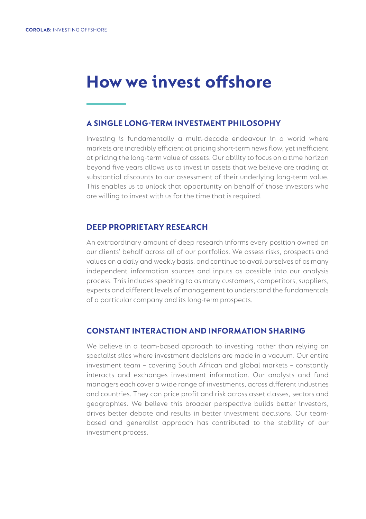# **How we invest offshore**

#### **A SINGLE LONG-TERM INVESTMENT PHILOSOPHY**

Investing is fundamentally a multi-decade endeavour in a world where markets are incredibly efficient at pricing short-term news flow, yet inefficient at pricing the long-term value of assets. Our ability to focus on a time horizon beyond five years allows us to invest in assets that we believe are trading at substantial discounts to our assessment of their underlying long-term value. This enables us to unlock that opportunity on behalf of those investors who are willing to invest with us for the time that is required.

#### **DEEP PROPRIETARY RESEARCH**

An extraordinary amount of deep research informs every position owned on our clients' behalf across all of our portfolios. We assess risks, prospects and values on a daily and weekly basis, and continue to avail ourselves of as many independent information sources and inputs as possible into our analysis process. This includes speaking to as many customers, competitors, suppliers, experts and different levels of management to understand the fundamentals of a particular company and its long-term prospects.

#### **CONSTANT INTERACTION AND INFORMATION SHARING**

We believe in a team-based approach to investing rather than relying on specialist silos where investment decisions are made in a vacuum. Our entire investment team – covering South African and global markets – constantly interacts and exchanges investment information. Our analysts and fund managers each cover a wide range of investments, across different industries and countries. They can price profit and risk across asset classes, sectors and geographies. We believe this broader perspective builds better investors, drives better debate and results in better investment decisions. Our teambased and generalist approach has contributed to the stability of our investment process.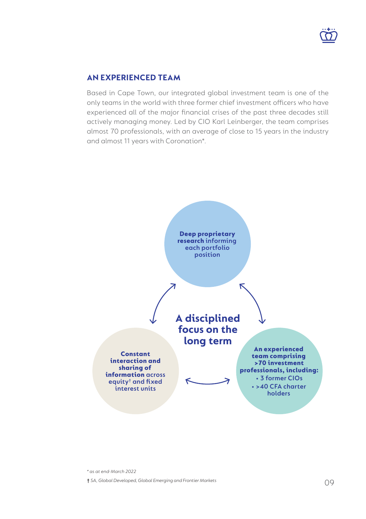

## **AN EXPERIENCED TEAM**

Based in Cape Town, our integrated global investment team is one of the only teams in the world with three former chief investment officers who have experienced all of the major financial crises of the past three decades still actively managing money. Led by CIO Karl Leinberger, the team comprises almost 70 professionals, with an average of close to 15 years in the industry and almost 11 years with Coronation\*.



*\* as at end-March 2022* **†** *SA, Global Developed, Global Emerging and Frontier Markets*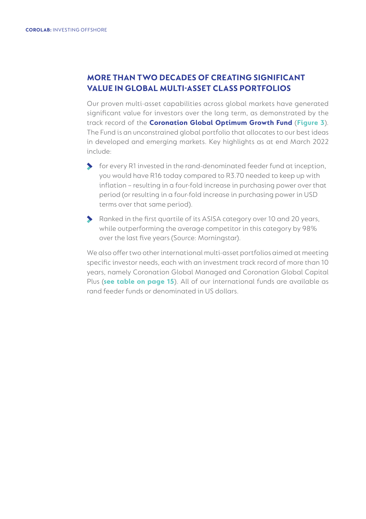## **MORE THAN TWO DECADES OF CREATING SIGNIFICANT VALUE IN GLOBAL MULTI-ASSET CLASS PORTFOLIOS**

Our proven multi-asset capabilities across global markets have generated significant value for investors over the long term, as demonstrated by the track record of the **Coronation Global Optimum Growth Fund** (**Figure 3**). The Fund is an unconstrained global portfolio that allocates to our best ideas in developed and emerging markets. Key highlights as at end March 2022 include:

- for every R1 invested in the rand-denominated feeder fund at inception, you would have R16 today compared to R3.70 needed to keep up with inflation – resulting in a four-fold increase in purchasing power over that period (or resulting in a four-fold increase in purchasing power in USD terms over that same period).
- Ranked in the first quartile of its ASISA category over 10 and 20 years, while outperforming the average competitor in this category by 98% over the last five years (Source: Morningstar).

We also offer two other international multi-asset portfolios aimed at meeting specific investor needs, each with an investment track record of more than 10 years, namely Coronation Global Managed and Coronation Global Capital Plus (**see table on page 15**). All of our international funds are available as rand feeder funds or denominated in US dollars.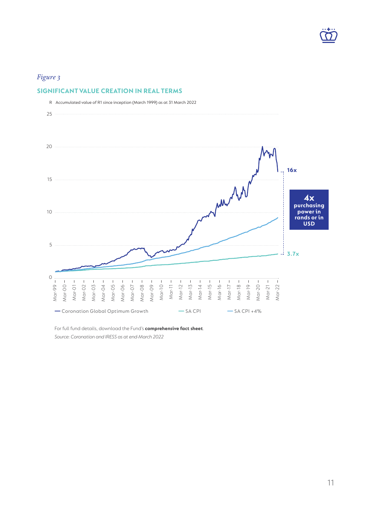## *Figure 3*

#### **SIGNIFICANT VALUE CREATION IN REAL TERMS**



[For full fund details, download the Fund's](https://www.coronation.com/en-za/personal/funds/optimum-growth/#js-overview) **comprehensive fact sheet**. *Source: Coronation and IRESS as at end-March 2022*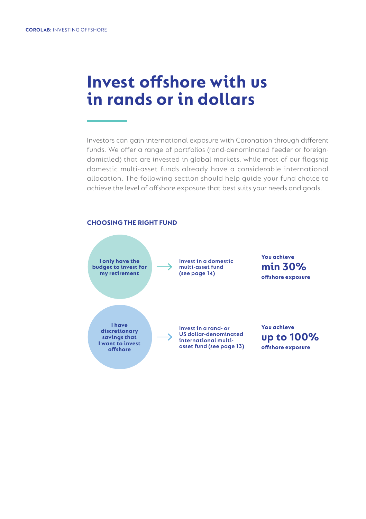## **Invest offshore with us in rands or in dollars**

Investors can gain international exposure with Coronation through different funds. We offer a range of portfolios (rand-denominated feeder or foreigndomiciled) that are invested in global markets, while most of our flagship domestic multi-asset funds already have a considerable international allocation. The following section should help guide your fund choice to achieve the level of offshore exposure that best suits your needs and goals.

#### **CHOOSING THE RIGHT FUND**

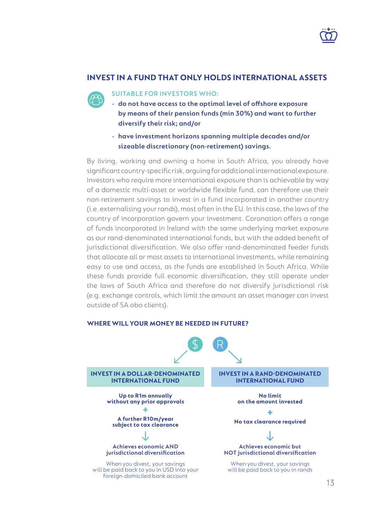

#### **INVEST IN A FUND THAT ONLY HOLDS INTERNATIONAL ASSETS**

#### **SUITABLE FOR INVESTORS WHO:**

- **do not have access to the optimal level of offshore exposure by means of their pension funds (min 30%) and want to further diversify their risk; and/or**
- **have investment horizons spanning multiple decades and/or sizeable discretionary (non-retirement) savings.**

By living, working and owning a home in South Africa, you already have significant country-specific risk, arguing for additional international exposure. Investors who require more international exposure than is achievable by way of a domestic multi-asset or worldwide flexible fund, can therefore use their non-retirement savings to invest in a fund incorporated in another country (i.e. externalising your rands), most often in the EU. In this case, the laws of the country of incorporation govern your investment. Coronation offers a range of funds incorporated in Ireland with the same underlying market exposure as our rand-denominated international funds, but with the added benefit of jurisdictional diversification. We also offer rand-denominated feeder funds that allocate all or most assets to international investments, while remaining easy to use and access, as the funds are established in South Africa. While these funds provide full economic diversification, they still operate under the laws of South Africa and therefore do not diversify jurisdictional risk (e.g. exchange controls, which limit the amount an asset manager can invest outside of SA obo clients).

#### **INVEST IN A DOLLAR-DENOMINATED INTERNATIONAL FUND INVEST IN A RAND-DENOMINATED INTERNATIONAL FUND Achieves economic AND jurisdictional diversification** When you divest, your savings will be paid back to you in USD into your **Achieves economic but NOT jurisdictional diversification** When you divest, your savings will be paid back to you in rands **Up to R1m annually without any prior approvals + A further R10m/year subject to tax clearance No limit on the amount invested + No tax clearance required**

#### **WHERE WILL YOUR MONEY BE NEEDED IN FUTURE?**

foreign-domiciled bank account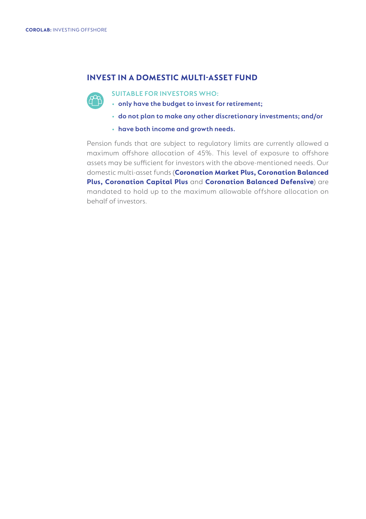## **INVEST IN A DOMESTIC MULTI-ASSET FUND**



- **SUITABLE FOR INVESTORS WHO:**
- **only have the budget to invest for retirement;**
- **• do not plan to make any other discretionary investments; and/or**
- **• have both income and growth needs.**

Pension funds that are subject to regulatory limits are currently allowed a maximum offshore allocation of 45%. This level of exposure to offshore assets may be sufficient for investors with the above-mentioned needs. Our domestic multi-asset funds (**[Coronation Market Plus](https://www.coronation.com/en-za/personal/funds/market-plus/#js-overview), [Coronation Balanced](https://www.coronation.com/en-za/personal/funds/balanced-plus/#js-overview) [Plus](https://www.coronation.com/en-za/personal/funds/balanced-plus/#js-overview), [Coronation Capital Plus](https://www.coronation.com/en-za/personal/funds/capital-plus/#js-overview)** and **[Coronation Balanced Defensive](https://www.coronation.com/en-za/personal/funds/balanced-defensive/#js-overview)**) are mandated to hold up to the maximum allowable offshore allocation on behalf of investors.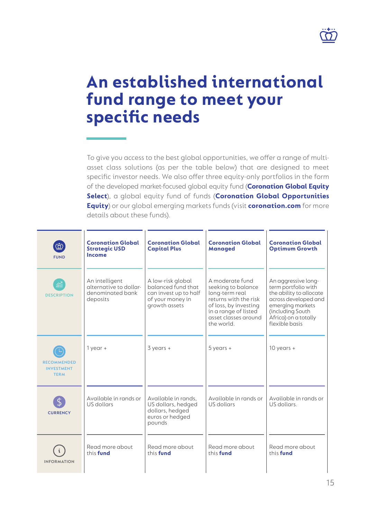

# **An established international fund range to meet your specific needs**

To give you access to the best global opportunities, we offer a range of multiasset class solutions (as per the table below) that are designed to meet specific investor needs. We also offer three equity-only portfolios in the form of the developed market-focused global equity fund (**[Coronation Global Equity](https://www.coronation.com/en-za/personal/funds/global-equity-select/#js-overview)  [Select](https://www.coronation.com/en-za/personal/funds/global-equity-select/#js-overview)**), a global equity fund of funds (**[Coronation Global Opportunities](https://www.coronation.com/en-za/personal/funds/global-opportunities-equity/#js-overview)  [Equity](https://www.coronation.com/en-za/personal/funds/global-opportunities-equity/#js-overview)**) or our global emerging markets funds (visit **[coronation.com](http://www.coronation.com)** for more details about these funds).

| $\bar{\varpi}$<br><b>FUND</b>                          | <b>Coronation Global</b><br><b>Strategic USD</b><br>Income               | <b>Coronation Global</b><br><b>Capital Plus</b>                                                       | <b>Coronation Global</b><br><b>Managed</b>                                                                                                                             | <b>Coronation Global</b><br><b>Optimum Growth</b>                                                                                                                               |
|--------------------------------------------------------|--------------------------------------------------------------------------|-------------------------------------------------------------------------------------------------------|------------------------------------------------------------------------------------------------------------------------------------------------------------------------|---------------------------------------------------------------------------------------------------------------------------------------------------------------------------------|
| 窳<br><b>DESCRIPTION</b>                                | An intelligent<br>alternative to dollar-<br>denominated bank<br>deposits | A low-risk global<br>balanced fund that<br>can invest up to half<br>of your money in<br>growth assets | A moderate fund<br>seeking to balance<br>long-term real<br>returns with the risk<br>of loss, by investing<br>in a range of listed<br>asset classes around<br>the world | An aggressive long-<br>term portfolio with<br>the ability to allocate<br>across developed and<br>emerging markets<br>(including South<br>Africa) on a totally<br>flexible basis |
| <b>RECOMMENDED</b><br><b>INVESTMENT</b><br><b>TERM</b> | $1$ year $+$                                                             | $3$ years $+$                                                                                         | $5$ years $+$                                                                                                                                                          | $10$ years +                                                                                                                                                                    |
| <b>CURRENCY</b>                                        | Available in rands or<br>US dollars                                      | Available in rands.<br>US dollars, hedged<br>dollars, hedged<br>euros or hedged<br>pounds             | Available in rands or<br>US dollars                                                                                                                                    | Available in rands or<br>US dollars.                                                                                                                                            |
| <b>INFORMATION</b>                                     | Read more about<br>this fund                                             | Read more about<br>this fund                                                                          | Read more about<br>this fund                                                                                                                                           | Read more about<br>this fund                                                                                                                                                    |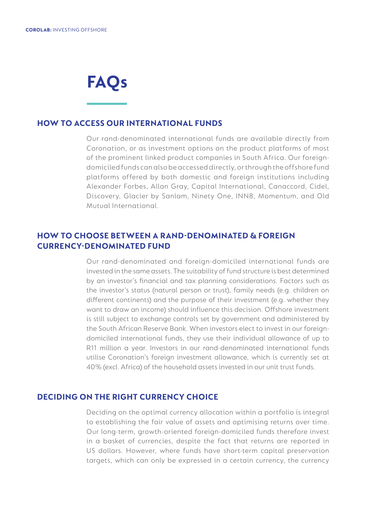# **FAQs**

#### **HOW TO ACCESS OUR INTERNATIONAL FUNDS**

Our rand-denominated international funds are available directly from Coronation, or as investment options on the product platforms of most of the prominent linked product companies in South Africa. Our foreigndomiciled funds can also be accessed directly, or through the offshore fund platforms offered by both domestic and foreign institutions including Alexander Forbes, Allan Gray, Capital International, Canaccord, Cidel, Discovery, Glacier by Sanlam, Ninety One, INN8, Momentum, and Old Mutual International.

## **HOW TO CHOOSE BETWEEN A RAND-DENOMINATED & FOREIGN CURRENCY-DENOMINATED FUND**

Our rand-denominated and foreign-domiciled international funds are invested in the same assets. The suitability of fund structure is best determined by an investor's financial and tax planning considerations. Factors such as the investor's status (natural person or trust), family needs (e.g. children on different continents) and the purpose of their investment (e.g. whether they want to draw an income) should influence this decision. Offshore investment is still subject to exchange controls set by government and administered by the South African Reserve Bank. When investors elect to invest in our foreigndomiciled international funds, they use their individual allowance of up to R11 million a year. Investors in our rand-denominated international funds utilise Coronation's foreign investment allowance, which is currently set at 40% (excl. Africa) of the household assets invested in our unit trust funds.

#### **DECIDING ON THE RIGHT CURRENCY CHOICE**

Deciding on the optimal currency allocation within a portfolio is integral to establishing the fair value of assets and optimising returns over time. Our long-term, growth-oriented foreign-domiciled funds therefore invest in a basket of currencies, despite the fact that returns are reported in US dollars. However, where funds have short-term capital preservation targets, which can only be expressed in a certain currency, the currency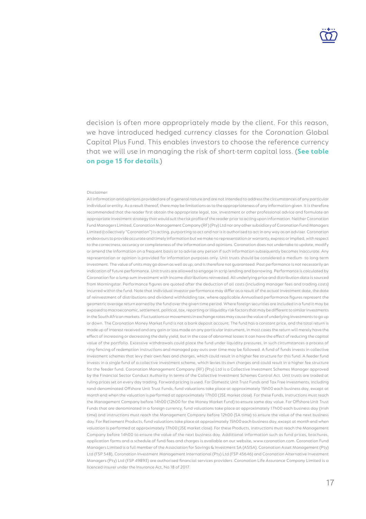decision is often more appropriately made by the client. For this reason, we have introduced hedged currency classes for the Coronation Global Capital Plus Fund. This enables investors to choose the reference currency that we will use in managing the risk of short-term capital loss. (**See table on page 15 for details**.)

#### Disclaimer:

All information and opinions provided are of a general nature and are not intended to address the circumstances of any particular individual or entity. As a result thereof, there may be limitations as to the appropriateness of any information given. It is therefore recommended that the reader first obtain the appropriate legal, tax, investment or other professional advice and formulate an appropriate investment strategy that would suit the risk profile of the reader prior to acting upon information. Neither Coronation Fund Managers Limited, Coronation Management Company (RF) (Pty) Ltd nor any other subsidiary of Coronation Fund Managers Limited (collectively "Coronation") is acting, purporting to act and nor is it authorised to act in any way as an adviser. Coronation deavours to provide accurate and timely information but we make no representation or warranty, express or implied, with respect to the correctness, accuracy or completeness of the information and opinions. Coronation does not undertake to update, modify or amend the information on a frequent basis or to advise any person if such information subsequently becomes inaccurate. Any representation or opinion is provided for information purposes only. Unit trusts should be considered a medium- to long-term investment. The value of units may go down as well as up, and is therefore not guaranteed. Past performance is not necessarily an indication of future performance. Unit trusts are allowed to engage in scrip lending and borrowing. Performance is calculated by Coronation for a lump sum investment with income distributions reinvested. All underlying price and distribution data is sourced from Morningstar. Performance figures are quoted after the deduction of all costs (including manager fees and trading costs) incurred within the fund. Note that individual investor performance may differ as a result of the actual investment date, the date of reinvestment of distributions and dividend withholding tax, where applicable.Annualised performance figures represent the geometric average return earned by the fund over the given time period. Where foreign securities are included in a fund it may be exposed to macroeconomic, settlement, political, tax, reporting or illiquidity risk factors that may be different to similar investments in the South African markets. Fluctuations or movements in exchange rates may cause the value of underlying investments to go up or down. The Coronation Money Market Fund is not a bank deposit account. The fund has a constant price, and the total return is made up of interest received and any gain or loss made on any particular instrument, in most cases the return will merely have the effect of increasing or decreasing the daily yield, but in the case of abnormal losses it can have the effect of reducing the capital value of the portfolio. Excessive withdrawals could place the fund under liquidity pressures, in such circumstances a process of ring-fencing of redemption instructions and managed pay-outs over time may be followed. A fund of funds invests in collective investment schemes that levy their own fees and charges, which could result in a higher fee structure for this fund. A feeder fund invests in a single fund of a collective investment scheme, which levies its own charges and could result in a higher fee structure for the feeder fund. Coronation Management Company (RF) (Pty) Ltd is a Collective Investment Schemes Manager approved by the Financial Sector Conduct Authority in terms of the Collective Investment Schemes Control Act. Unit trusts are traded at ruling prices set on every day trading. Forward pricing is used. For Domestic Unit Trust Funds and Tax Free Investments, including rand-denominated Offshore Unit Trust Funds, fund valuations take place at approximately 15h00 each business day, except at month end when the valuation is performed at approximately 17h00 (JSE market close). For these Funds, instructions must reach the Management Company before 14h00 (12h00 for the Money Market Fund) to ensure same day value. For Offshore Unit Trust Funds that are denominated in a foreign currency, fund valuations take place at approximately 17h00 each business day (Irish time) and instructions must reach the Management Company before 12h00 (SA time) to ensure the value of the next business day. For Retirement Products, fund valuations take place at approximately 15h00 each business day, except at month end when valuation is performed at approximately 17h00 (JSE market close). For these Products, instructions must reach the Management Company before 14h00 to ensure the value of the next business day. Additional information such as fund prices, brochures, application forms and a schedule of fund fees and charges is available on our website, www.coronation.com. Coronation Fund Managers Limited is a full member of the Association for Savings & Investment SA (ASISA). Coronation Asset Management (Pty) Ltd (FSP 548), Coronation Investment Management International (Pty) Ltd (FSP 45646) and Coronation Alternative Investment Managers (Pty) Ltd (FSP 49893) are authorised financial services providers. Coronation Life Assurance Company Limited is a licenced insurer under the Insurance Act, No.18 of 2017.